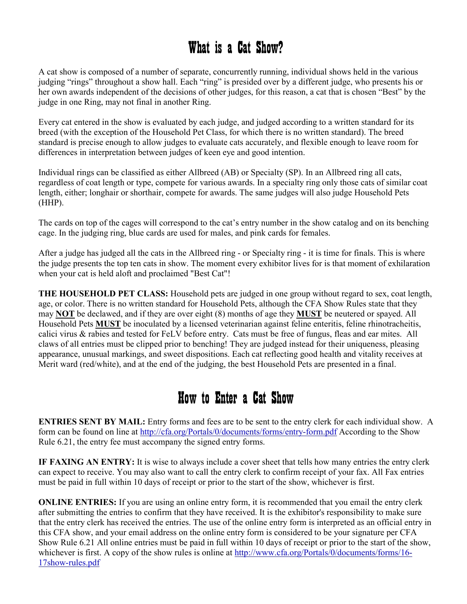## What is a Cat Show?

A cat show is composed of a number of separate, concurrently running, individual shows held in the various judging "rings" throughout a show hall. Each "ring" is presided over by a different judge, who presents his or her own awards independent of the decisions of other judges, for this reason, a cat that is chosen "Best" by the judge in one Ring, may not final in another Ring.

Every cat entered in the show is evaluated by each judge, and judged according to a written standard for its breed (with the exception of the Household Pet Class, for which there is no written standard). The breed standard is precise enough to allow judges to evaluate cats accurately, and flexible enough to leave room for differences in interpretation between judges of keen eye and good intention.

Individual rings can be classified as either Allbreed (AB) or Specialty (SP). In an Allbreed ring all cats, regardless of coat length or type, compete for various awards. In a specialty ring only those cats of similar coat length, either; longhair or shorthair, compete for awards. The same judges will also judge Household Pets (HHP).

The cards on top of the cages will correspond to the cat's entry number in the show catalog and on its benching cage. In the judging ring, blue cards are used for males, and pink cards for females.

After a judge has judged all the cats in the Allbreed ring - or Specialty ring - it is time for finals. This is where the judge presents the top ten cats in show. The moment every exhibitor lives for is that moment of exhilaration when your cat is held aloft and proclaimed "Best Cat"!

**THE HOUSEHOLD PET CLASS:** Household pets are judged in one group without regard to sex, coat length, age, or color. There is no written standard for Household Pets, although the CFA Show Rules state that they may **OT** be declawed, and if they are over eight (8) months of age they **MUST** be neutered or spayed. All Household Pets **MUST** be inoculated by a licensed veterinarian against feline enteritis, feline rhinotracheitis, calici virus & rabies and tested for FeLV before entry. Cats must be free of fungus, fleas and ear mites. All claws of all entries must be clipped prior to benching! They are judged instead for their uniqueness, pleasing appearance, unusual markings, and sweet dispositions. Each cat reflecting good health and vitality receives at Merit ward (red/white), and at the end of the judging, the best Household Pets are presented in a final.

#### How to Enter a Cat Show

**ENTRIES SENT BY MAIL:** Entry forms and fees are to be sent to the entry clerk for each individual show. A form can be found on line at http://cfa.org/Portals/0/documents/forms/entry-form.pdf According to the Show Rule 6.21, the entry fee must accompany the signed entry forms.

**IF FAXING AN ENTRY:** It is wise to always include a cover sheet that tells how many entries the entry clerk can expect to receive. You may also want to call the entry clerk to confirm receipt of your fax. All Fax entries must be paid in full within 10 days of receipt or prior to the start of the show, whichever is first.

**ONLINE ENTRIES:** If you are using an online entry form, it is recommended that you email the entry clerk after submitting the entries to confirm that they have received. It is the exhibitor's responsibility to make sure that the entry clerk has received the entries. The use of the online entry form is interpreted as an official entry in this CFA show, and your email address on the online entry form is considered to be your signature per CFA Show Rule 6.21 All online entries must be paid in full within 10 days of receipt or prior to the start of the show, whichever is first. A copy of the show rules is online at http://www.cfa.org/Portals/0/documents/forms/16-17show-rules.pdf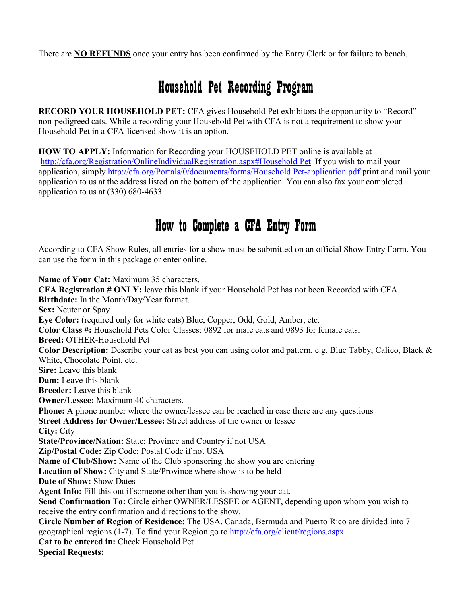There are **NO REFUNDS** once your entry has been confirmed by the Entry Clerk or for failure to bench.

# Household Pet Recording Program

**RECORD YOUR HOUSEHOLD PET:** CFA gives Household Pet exhibitors the opportunity to "Record" non-pedigreed cats. While a recording your Household Pet with CFA is not a requirement to show your Household Pet in a CFA-licensed show it is an option.

**HOW TO APPLY:** Information for Recording your HOUSEHOLD PET online is available at http://cfa.org/Registration/OnlineIndividualRegistration.aspx#Household Pet If you wish to mail your application, simply http://cfa.org/Portals/0/documents/forms/Household Pet-application.pdf print and mail your application to us at the address listed on the bottom of the application. You can also fax your completed application to us at (330) 680-4633.

## How to Complete a CFA Entry Form

According to CFA Show Rules, all entries for a show must be submitted on an official Show Entry Form. You can use the form in this package or enter online.

**ame of Your Cat:** Maximum 35 characters. **CFA Registration # OLY:** leave this blank if your Household Pet has not been Recorded with CFA **Birthdate:** In the Month/Day/Year format. **Sex:** Neuter or Spay **Eye Color:** (required only for white cats) Blue, Copper, Odd, Gold, Amber, etc. **Color Class #:** Household Pets Color Classes: 0892 for male cats and 0893 for female cats. **Breed:** OTHER-Household Pet **Color Description:** Describe your cat as best you can using color and pattern, e.g. Blue Tabby, Calico, Black & White, Chocolate Point, etc. **Sire:** Leave this blank **Dam:** Leave this blank **Breeder:** Leave this blank **Owner/Lessee:** Maximum 40 characters. **Phone:** A phone number where the owner/lessee can be reached in case there are any questions **Street Address for Owner/Lessee:** Street address of the owner or lessee **City:** City **State/Province/Nation:** State; Province and Country if not USA **Zip/Postal Code:** Zip Code; Postal Code if not USA **ame of Club/Show:** Name of the Club sponsoring the show you are entering **Location of Show:** City and State/Province where show is to be held **Date of Show:** Show Dates **Agent Info:** Fill this out if someone other than you is showing your cat. **Send Confirmation To:** Circle either OWNER/LESSEE or AGENT, depending upon whom you wish to receive the entry confirmation and directions to the show. **Circle Number of Region of Residence:** The USA, Canada, Bermuda and Puerto Rico are divided into 7 geographical regions (1-7). To find your Region go to http://cfa.org/client/regions.aspx **Cat to be entered in:** Check Household Pet **Special Requests:**